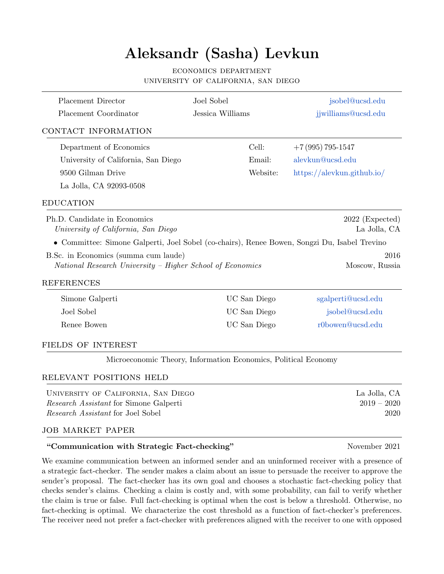# Aleksandr (Sasha) Levkun

#### economics department university of california, san diego

| Placement Director                                                                                                 | Joel Sobel                                                     | jsobel@ucsd.edu                       |
|--------------------------------------------------------------------------------------------------------------------|----------------------------------------------------------------|---------------------------------------|
| Placement Coordinator                                                                                              | Jessica Williams                                               | jjwilliams@ucsd.edu                   |
| CONTACT INFORMATION                                                                                                |                                                                |                                       |
| Department of Economics                                                                                            | Cell:                                                          | $+7(995)795-1547$                     |
| University of California, San Diego                                                                                | Email:                                                         | alevkun@ucsd.edu                      |
| 9500 Gilman Drive                                                                                                  | Website:                                                       | $\frac{https://alevkun.github.io/}{$  |
| La Jolla, CA 92093-0508                                                                                            |                                                                |                                       |
| <b>EDUCATION</b>                                                                                                   |                                                                |                                       |
| Ph.D. Candidate in Economics<br>University of California, San Diego                                                |                                                                | $2022$ (Expected)<br>La Jolla, CA     |
| • Committee: Simone Galperti, Joel Sobel (co-chairs), Renee Bowen, Songzi Du, Isabel Trevino                       |                                                                |                                       |
| B.Sc. in Economics (summa cum laude)<br>National Research University - Higher School of Economics                  |                                                                | 2016<br>Moscow, Russia                |
| <b>REFERENCES</b>                                                                                                  |                                                                |                                       |
| Simone Galperti                                                                                                    | UC San Diego                                                   | sgalperti@ucsd.edu                    |
| Joel Sobel                                                                                                         | UC San Diego                                                   | jsobel@ucsd.edu                       |
| Renee Bowen                                                                                                        | UC San Diego                                                   | r0bowen@ucsd.edu                      |
| FIELDS OF INTEREST                                                                                                 |                                                                |                                       |
|                                                                                                                    | Microeconomic Theory, Information Economics, Political Economy |                                       |
| RELEVANT POSITIONS HELD                                                                                            |                                                                |                                       |
| UNIVERSITY OF CALIFORNIA, SAN DIEGO<br>Research Assistant for Simone Galperti<br>Research Assistant for Joel Sobel |                                                                | La Jolla, CA<br>$2019 - 2020$<br>2020 |

#### job market paper

#### "Communication with Strategic Fact-checking" November 2021

We examine communication between an informed sender and an uninformed receiver with a presence of a strategic fact-checker. The sender makes a claim about an issue to persuade the receiver to approve the sender's proposal. The fact-checker has its own goal and chooses a stochastic fact-checking policy that checks sender's claims. Checking a claim is costly and, with some probability, can fail to verify whether the claim is true or false. Full fact-checking is optimal when the cost is below a threshold. Otherwise, no fact-checking is optimal. We characterize the cost threshold as a function of fact-checker's preferences. The receiver need not prefer a fact-checker with preferences aligned with the receiver to one with opposed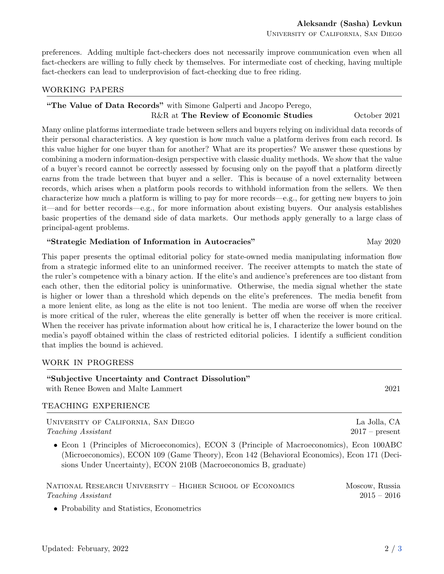• Probability and Statistics, Econometrics

preferences. Adding multiple fact-checkers does not necessarily improve communication even when all fact-checkers are willing to fully check by themselves. For intermediate cost of checking, having multiple fact-checkers can lead to underprovision of fact-checking due to free riding.

## working papers

# "The Value of Data Records" with Simone Galperti and Jacopo Perego, R&R at The Review of Economic Studies October 2021

Many online platforms intermediate trade between sellers and buyers relying on individual data records of their personal characteristics. A key question is how much value a platform derives from each record. Is this value higher for one buyer than for another? What are its properties? We answer these questions by combining a modern information-design perspective with classic duality methods. We show that the value of a buyer's record cannot be correctly assessed by focusing only on the payoff that a platform directly earns from the trade between that buyer and a seller. This is because of a novel externality between records, which arises when a platform pools records to withhold information from the sellers. We then characterize how much a platform is willing to pay for more records—e.g., for getting new buyers to join it—and for better records—e.g., for more information about existing buyers. Our analysis establishes basic properties of the demand side of data markets. Our methods apply generally to a large class of principal-agent problems.

## "Strategic Mediation of Information in Autocracies" May 2020

"Subjective Uncertainty and Contract Dissolution"

This paper presents the optimal editorial policy for state-owned media manipulating information flow from a strategic informed elite to an uninformed receiver. The receiver attempts to match the state of the ruler's competence with a binary action. If the elite's and audience's preferences are too distant from each other, then the editorial policy is uninformative. Otherwise, the media signal whether the state is higher or lower than a threshold which depends on the elite's preferences. The media benefit from a more lenient elite, as long as the elite is not too lenient. The media are worse off when the receiver is more critical of the ruler, whereas the elite generally is better off when the receiver is more critical. When the receiver has private information about how critical he is, I characterize the lower bound on the media's payoff obtained within the class of restricted editorial policies. I identify a sufficient condition that implies the bound is achieved.

## work in progress

| TEACHING EXPERIENCE<br>UNIVERSITY OF CALIFORNIA, SAN DIEGO                                                                                                                                                                                                   | La Jolla, CA                    |
|--------------------------------------------------------------------------------------------------------------------------------------------------------------------------------------------------------------------------------------------------------------|---------------------------------|
| Teaching Assistant                                                                                                                                                                                                                                           | $2017$ – present                |
| • Econ 1 (Principles of Microeconomics), ECON 3 (Principle of Macroeconomics), Econ 100ABC<br>(Microeconomics), ECON 109 (Game Theory), Econ 142 (Behavioral Economics), Econ 171 (Deci-<br>sions Under Uncertainty), ECON 210B (Macroeconomics B, graduate) |                                 |
| NATIONAL RESEARCH UNIVERSITY – HIGHER SCHOOL OF ECONOMICS<br>Teaching Assistant                                                                                                                                                                              | Moscow, Russia<br>$2015 - 2016$ |

with Renee Bowen and Malte Lammert 2021